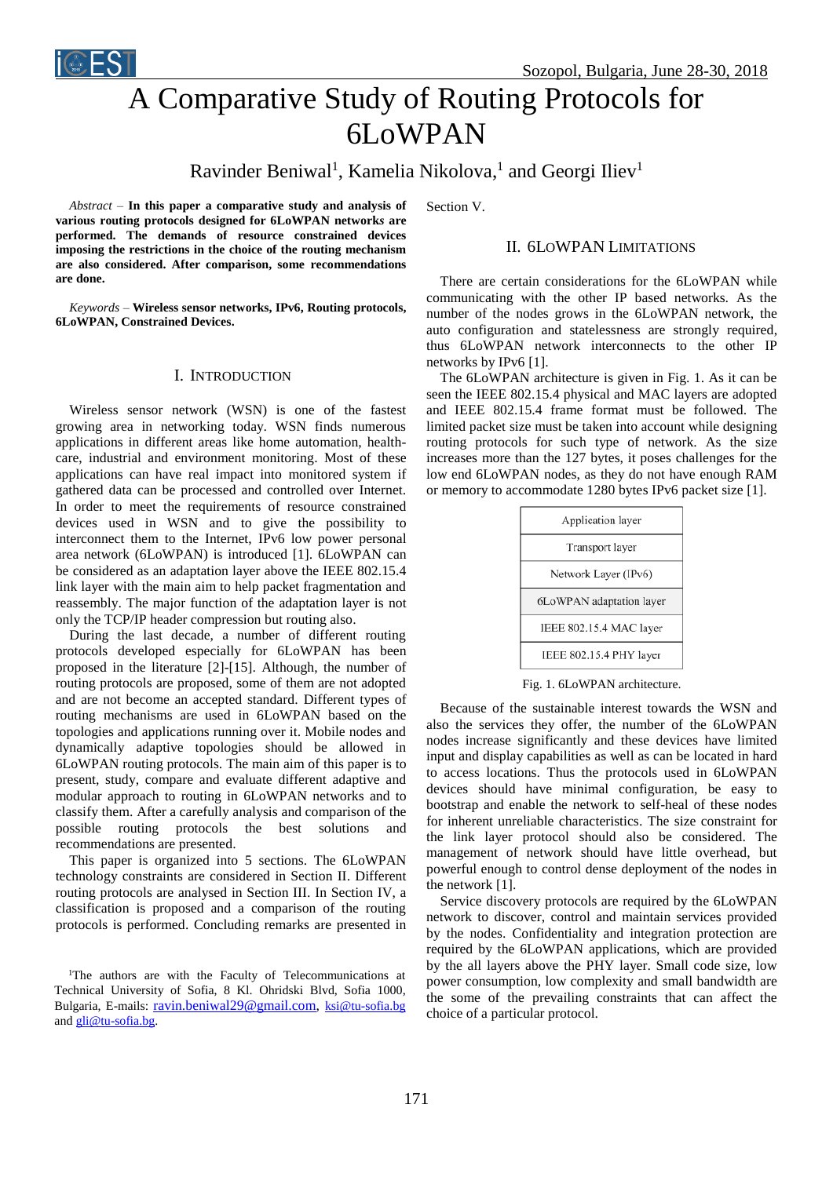

# A Comparative Study of Routing Protocols for 6LoWPAN

# Ravinder Beniwal<sup>1</sup>, Kamelia Nikolova,<sup>1</sup> and Georgi Iliev<sup>1</sup>

*Abstract –* **In this paper a comparative study and analysis of various routing protocols designed for 6LoWPAN network***s* **are performed. The demands of resource constrained devices imposing the restrictions in the choice of the routing mechanism are also considered. After comparison, some recommendations are done.**

*Keywords –* **Wireless sensor networks, IPv6, Routing protocols, 6LoWPAN, Constrained Devices.**

#### I. INTRODUCTION

Wireless sensor network (WSN) is one of the fastest growing area in networking today. WSN finds numerous applications in different areas like home automation, healthcare, industrial and environment monitoring. Most of these applications can have real impact into monitored system if gathered data can be processed and controlled over Internet. In order to meet the requirements of resource constrained devices used in WSN and to give the possibility to interconnect them to the Internet, IPv6 low power personal area network (6LoWPAN) is introduced [1]. 6LoWPAN can be considered as an adaptation layer above the IEEE 802.15.4 link layer with the main aim to help packet fragmentation and reassembly. The major function of the adaptation layer is not only the TCP/IP header compression but routing also.

During the last decade, a number of different routing protocols developed especially for 6LoWPAN has been proposed in the literature [2]-[15]. Although, the number of routing protocols are proposed, some of them are not adopted and are not become an accepted standard. Different types of routing mechanisms are used in 6LoWPAN based on the topologies and applications running over it. Mobile nodes and dynamically adaptive topologies should be allowed in 6LoWPAN routing protocols. The main aim of this paper is to present, study, compare and evaluate different adaptive and modular approach to routing in 6LoWPAN networks and to classify them. After a carefully analysis and comparison of the possible routing protocols the best solutions and recommendations are presented.

This paper is organized into 5 sections. The 6LoWPAN technology constraints are considered in Section II. Different routing protocols are analysed in Section III. In Section IV, a classification is proposed and a comparison of the routing protocols is performed. Concluding remarks are presented in Section V.

#### II. 6LOWPAN LIMITATIONS

There are certain considerations for the 6LoWPAN while communicating with the other IP based networks. As the number of the nodes grows in the 6LoWPAN network, the auto configuration and statelessness are strongly required, thus 6LoWPAN network interconnects to the other IP networks by IPv6 [1].

The 6LoWPAN architecture is given in Fig. 1. As it can be seen the IEEE 802.15.4 physical and MAC layers are adopted and IEEE 802.15.4 frame format must be followed. The limited packet size must be taken into account while designing routing protocols for such type of network. As the size increases more than the 127 bytes, it poses challenges for the low end 6LoWPAN nodes, as they do not have enough RAM or memory to accommodate 1280 bytes IPv6 packet size [1].

| Application layer        |  |
|--------------------------|--|
| Transport layer          |  |
| Network Layer (IPv6)     |  |
| 6LoWPAN adaptation layer |  |
| IEEE 802.15.4 MAC layer  |  |
| IEEE 802.15.4 PHY layer  |  |

Fig. 1. 6LoWPAN architecture.

Because of the sustainable interest towards the WSN and also the services they offer, the number of the 6LoWPAN nodes increase significantly and these devices have limited input and display capabilities as well as can be located in hard to access locations. Thus the protocols used in 6LoWPAN devices should have minimal configuration, be easy to bootstrap and enable the network to self-heal of these nodes for inherent unreliable characteristics. The size constraint for the link layer protocol should also be considered. The management of network should have little overhead, but powerful enough to control dense deployment of the nodes in the network [1].

Service discovery protocols are required by the 6LoWPAN network to discover, control and maintain services provided by the nodes. Confidentiality and integration protection are required by the 6LoWPAN applications, which are provided by the all layers above the PHY layer. Small code size, low power consumption, low complexity and small bandwidth are the some of the prevailing constraints that can affect the choice of a particular protocol.

<sup>&</sup>lt;sup>1</sup>The authors are with the Faculty of Telecommunications at Technical University of Sofia, 8 Kl. Ohridski Blvd, Sofia 1000, Bulgaria, E-mails: [ravin.beniwal29@gmail.com,](mailto:ravin.beniwal29@gmail.com) [ksi@tu-sofia.bg](mailto:ksi@tu-sofia.bg) an[d gli@tu-sofia.bg.](mailto:gli@tu-sofia.bg)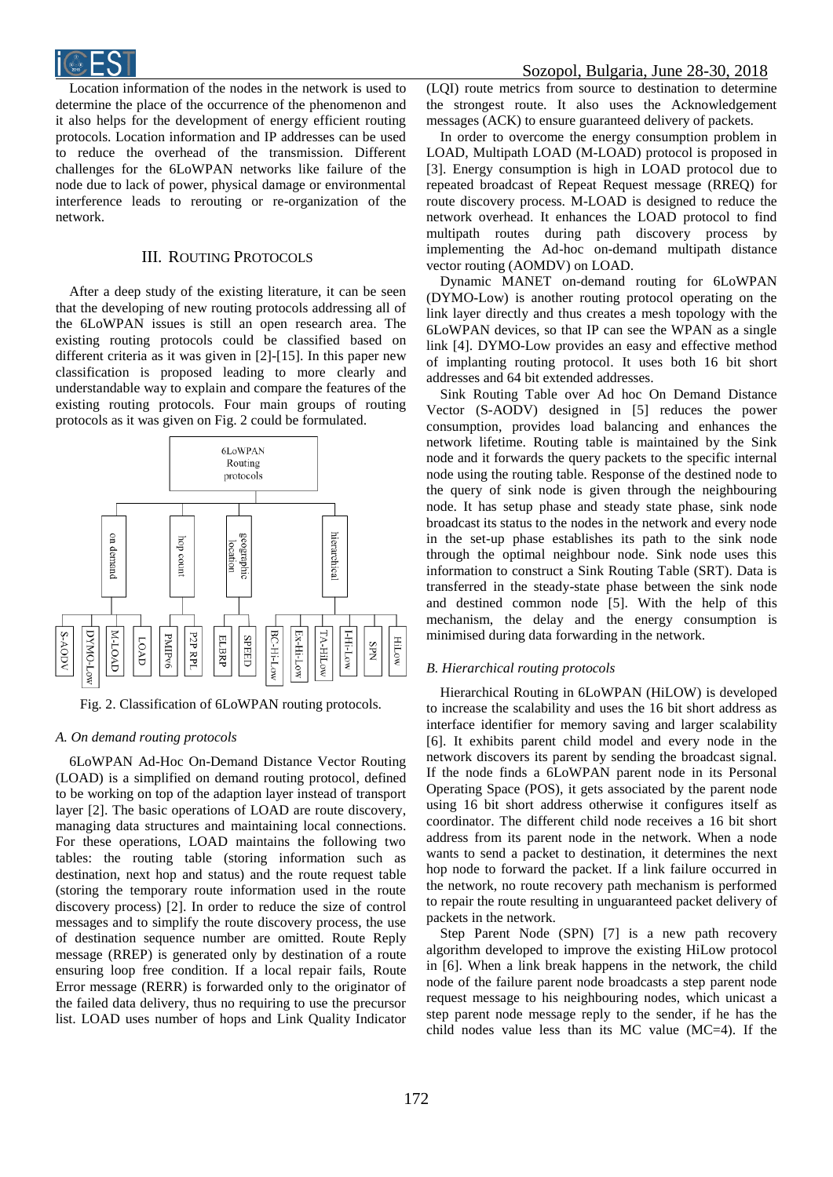

Location information of the nodes in the network is used to determine the place of the occurrence of the phenomenon and it also helps for the development of energy efficient routing protocols. Location information and IP addresses can be used to reduce the overhead of the transmission. Different challenges for the 6LoWPAN networks like failure of the node due to lack of power, physical damage or environmental interference leads to rerouting or re-organization of the network.

## III. ROUTING PROTOCOLS

After a deep study of the existing literature, it can be seen that the developing of new routing protocols addressing all of the 6LoWPAN issues is still an open research area. The existing routing protocols could be classified based on different criteria as it was given in [2]-[15]. In this paper new classification is proposed leading to more clearly and understandable way to explain and compare the features of the existing routing protocols. Four main groups of routing protocols as it was given on Fig. 2 could be formulated.



Fig. 2. Classification of 6LoWPAN routing protocols.

#### *A. On demand routing protocols*

6LoWPAN Ad-Hoc On-Demand Distance Vector Routing (LOAD) is a simplified on demand routing protocol, defined to be working on top of the adaption layer instead of transport layer [2]. The basic operations of LOAD are route discovery, managing data structures and maintaining local connections. For these operations, LOAD maintains the following two tables: the routing table (storing information such as destination, next hop and status) and the route request table (storing the temporary route information used in the route discovery process) [2]. In order to reduce the size of control messages and to simplify the route discovery process, the use of destination sequence number are omitted. Route Reply message (RREP) is generated only by destination of a route ensuring loop free condition. If a local repair fails, Route Error message (RERR) is forwarded only to the originator of the failed data delivery, thus no requiring to use the precursor list. LOAD uses number of hops and Link Quality Indicator

(LQI) route metrics from source to destination to determine the strongest route. It also uses the Acknowledgement messages (ACK) to ensure guaranteed delivery of packets.

In order to overcome the energy consumption problem in LOAD, Multipath LOAD (M-LOAD) protocol is proposed in [3]. Energy consumption is high in LOAD protocol due to repeated broadcast of Repeat Request message (RREQ) for route discovery process. M-LOAD is designed to reduce the network overhead. It enhances the LOAD protocol to find multipath routes during path discovery process by implementing the Ad-hoc on-demand multipath distance vector routing (AOMDV) on LOAD.

Dynamic MANET on-demand routing for 6LoWPAN (DYMO-Low) is another routing protocol operating on the link layer directly and thus creates a mesh topology with the 6LoWPAN devices, so that IP can see the WPAN as a single link [4]. DYMO-Low provides an easy and effective method of implanting routing protocol. It uses both 16 bit short addresses and 64 bit extended addresses.

Sink Routing Table over Ad hoc On Demand Distance Vector (S-AODV) designed in [5] reduces the power consumption, provides load balancing and enhances the network lifetime. Routing table is maintained by the Sink node and it forwards the query packets to the specific internal node using the routing table. Response of the destined node to the query of sink node is given through the neighbouring node. It has setup phase and steady state phase, sink node broadcast its status to the nodes in the network and every node in the set-up phase establishes its path to the sink node through the optimal neighbour node. Sink node uses this information to construct a Sink Routing Table (SRT). Data is transferred in the steady-state phase between the sink node and destined common node [5]. With the help of this mechanism, the delay and the energy consumption is minimised during data forwarding in the network.

#### *B. Hierarchical routing protocols*

Hierarchical Routing in 6LoWPAN (HiLOW) is developed to increase the scalability and uses the 16 bit short address as interface identifier for memory saving and larger scalability [6]. It exhibits parent child model and every node in the network discovers its parent by sending the broadcast signal. If the node finds a 6LoWPAN parent node in its Personal Operating Space (POS), it gets associated by the parent node using 16 bit short address otherwise it configures itself as coordinator. The different child node receives a 16 bit short address from its parent node in the network. When a node wants to send a packet to destination, it determines the next hop node to forward the packet. If a link failure occurred in the network, no route recovery path mechanism is performed to repair the route resulting in unguaranteed packet delivery of packets in the network.

Step Parent Node (SPN) [7] is a new path recovery algorithm developed to improve the existing HiLow protocol in [6]. When a link break happens in the network, the child node of the failure parent node broadcasts a step parent node request message to his neighbouring nodes, which unicast a step parent node message reply to the sender, if he has the child nodes value less than its MC value (MC=4). If the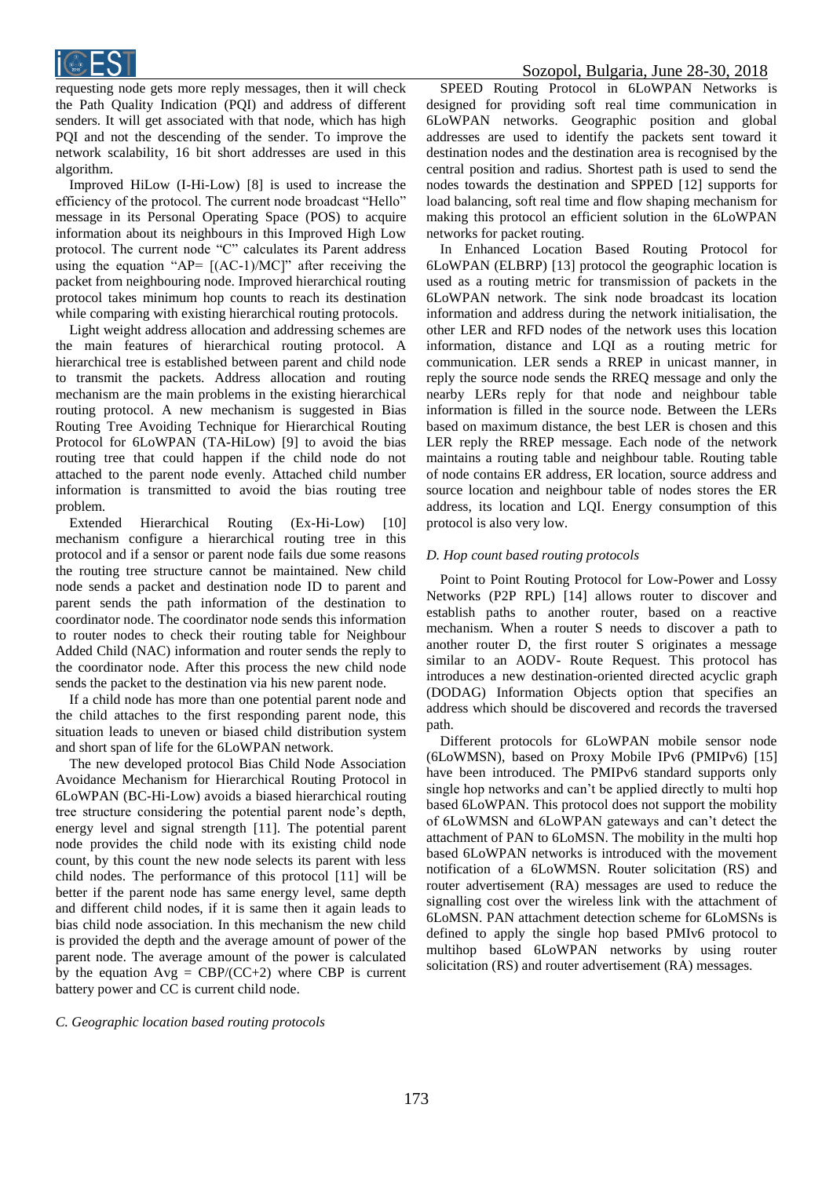

requesting node gets more reply messages, then it will check the Path Quality Indication (PQI) and address of different senders. It will get associated with that node, which has high PQI and not the descending of the sender. To improve the network scalability, 16 bit short addresses are used in this algorithm.

Improved HiLow (I-Hi-Low) [8] is used to increase the efficiency of the protocol. The current node broadcast "Hello" message in its Personal Operating Space (POS) to acquire information about its neighbours in this Improved High Low protocol. The current node "C" calculates its Parent address using the equation "AP=  $[(AC-1)/MC]$ " after receiving the packet from neighbouring node. Improved hierarchical routing protocol takes minimum hop counts to reach its destination while comparing with existing hierarchical routing protocols.

Light weight address allocation and addressing schemes are the main features of hierarchical routing protocol. A hierarchical tree is established between parent and child node to transmit the packets. Address allocation and routing mechanism are the main problems in the existing hierarchical routing protocol. A new mechanism is suggested in Bias Routing Tree Avoiding Technique for Hierarchical Routing Protocol for 6LoWPAN (TA-HiLow) [9] to avoid the bias routing tree that could happen if the child node do not attached to the parent node evenly. Attached child number information is transmitted to avoid the bias routing tree problem.

Extended Hierarchical Routing (Ex-Hi-Low) [10] mechanism configure a hierarchical routing tree in this protocol and if a sensor or parent node fails due some reasons the routing tree structure cannot be maintained. New child node sends a packet and destination node ID to parent and parent sends the path information of the destination to coordinator node. The coordinator node sends this information to router nodes to check their routing table for Neighbour Added Child (NAC) information and router sends the reply to the coordinator node. After this process the new child node sends the packet to the destination via his new parent node.

If a child node has more than one potential parent node and the child attaches to the first responding parent node, this situation leads to uneven or biased child distribution system and short span of life for the 6LoWPAN network.

The new developed protocol Bias Child Node Association Avoidance Mechanism for Hierarchical Routing Protocol in 6LoWPAN (BC-Hi-Low) avoids a biased hierarchical routing tree structure considering the potential parent node's depth, energy level and signal strength [11]. The potential parent node provides the child node with its existing child node count, by this count the new node selects its parent with less child nodes. The performance of this protocol [11] will be better if the parent node has same energy level, same depth and different child nodes, if it is same then it again leads to bias child node association. In this mechanism the new child is provided the depth and the average amount of power of the parent node. The average amount of the power is calculated by the equation  $Avg = CBP/(CC+2)$  where CBP is current battery power and CC is current child node.

SPEED Routing Protocol in 6LoWPAN Networks is designed for providing soft real time communication in 6LoWPAN networks. Geographic position and global addresses are used to identify the packets sent toward it destination nodes and the destination area is recognised by the central position and radius. Shortest path is used to send the nodes towards the destination and SPPED [12] supports for load balancing, soft real time and flow shaping mechanism for making this protocol an efficient solution in the 6LoWPAN networks for packet routing.

In Enhanced Location Based Routing Protocol for 6LoWPAN (ELBRP) [13] protocol the geographic location is used as a routing metric for transmission of packets in the 6LoWPAN network. The sink node broadcast its location information and address during the network initialisation, the other LER and RFD nodes of the network uses this location information, distance and LQI as a routing metric for communication. LER sends a RREP in unicast manner, in reply the source node sends the RREQ message and only the nearby LERs reply for that node and neighbour table information is filled in the source node. Between the LERs based on maximum distance, the best LER is chosen and this LER reply the RREP message. Each node of the network maintains a routing table and neighbour table. Routing table of node contains ER address, ER location, source address and source location and neighbour table of nodes stores the ER address, its location and LQI. Energy consumption of this protocol is also very low.

### *D. Hop count based routing protocols*

Point to Point Routing Protocol for Low-Power and Lossy Networks (P2P RPL) [14] allows router to discover and establish paths to another router, based on a reactive mechanism. When a router S needs to discover a path to another router D, the first router S originates a message similar to an AODV- Route Request. This protocol has introduces a new destination-oriented directed acyclic graph (DODAG) Information Objects option that specifies an address which should be discovered and records the traversed path.

Different protocols for 6LoWPAN mobile sensor node (6LoWMSN), based on Proxy Mobile IPv6 (PMIPv6) [15] have been introduced. The PMIPv6 standard supports only single hop networks and can't be applied directly to multi hop based 6LoWPAN. This protocol does not support the mobility of 6LoWMSN and 6LoWPAN gateways and can't detect the attachment of PAN to 6LoMSN. The mobility in the multi hop based 6LoWPAN networks is introduced with the movement notification of a 6LoWMSN. Router solicitation (RS) and router advertisement (RA) messages are used to reduce the signalling cost over the wireless link with the attachment of 6LoMSN. PAN attachment detection scheme for 6LoMSNs is defined to apply the single hop based PMIv6 protocol to multihop based 6LoWPAN networks by using router solicitation (RS) and router advertisement (RA) messages.

*C. Geographic location based routing protocols*